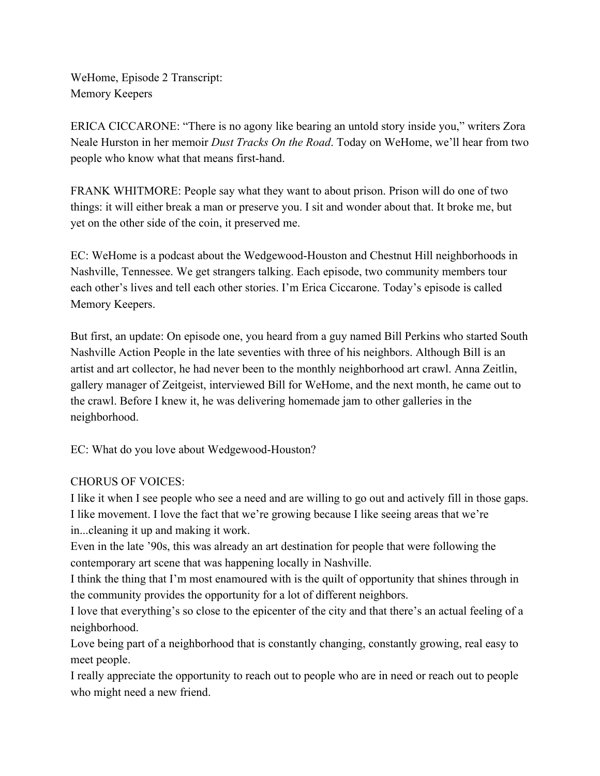WeHome, Episode 2 Transcript: Memory Keepers

ERICA CICCARONE: "There is no agony like bearing an untold story inside you," writers Zora Neale Hurston in her memoir *Dust Tracks On the Road*. Today on WeHome, we'll hear from two people who know what that means first-hand.

FRANK WHITMORE: People say what they want to about prison. Prison will do one of two things: it will either break a man or preserve you. I sit and wonder about that. It broke me, but yet on the other side of the coin, it preserved me.

EC: WeHome is a podcast about the Wedgewood-Houston and Chestnut Hill neighborhoods in Nashville, Tennessee. We get strangers talking. Each episode, two community members tour each other's lives and tell each other stories. I'm Erica Ciccarone. Today's episode is called Memory Keepers.

But first, an update: On episode one, you heard from a guy named Bill Perkins who started South Nashville Action People in the late seventies with three of his neighbors. Although Bill is an artist and art collector, he had never been to the monthly neighborhood art crawl. Anna Zeitlin, gallery manager of Zeitgeist, interviewed Bill for WeHome, and the next month, he came out to the crawl. Before I knew it, he was delivering homemade jam to other galleries in the neighborhood.

EC: What do you love about Wedgewood-Houston?

## CHORUS OF VOICES:

I like it when I see people who see a need and are willing to go out and actively fill in those gaps. I like movement. I love the fact that we're growing because I like seeing areas that we're in...cleaning it up and making it work.

Even in the late '90s, this was already an art destination for people that were following the contemporary art scene that was happening locally in Nashville.

I think the thing that I'm most enamoured with is the quilt of opportunity that shines through in the community provides the opportunity for a lot of different neighbors.

I love that everything's so close to the epicenter of the city and that there's an actual feeling of a neighborhood.

Love being part of a neighborhood that is constantly changing, constantly growing, real easy to meet people.

I really appreciate the opportunity to reach out to people who are in need or reach out to people who might need a new friend.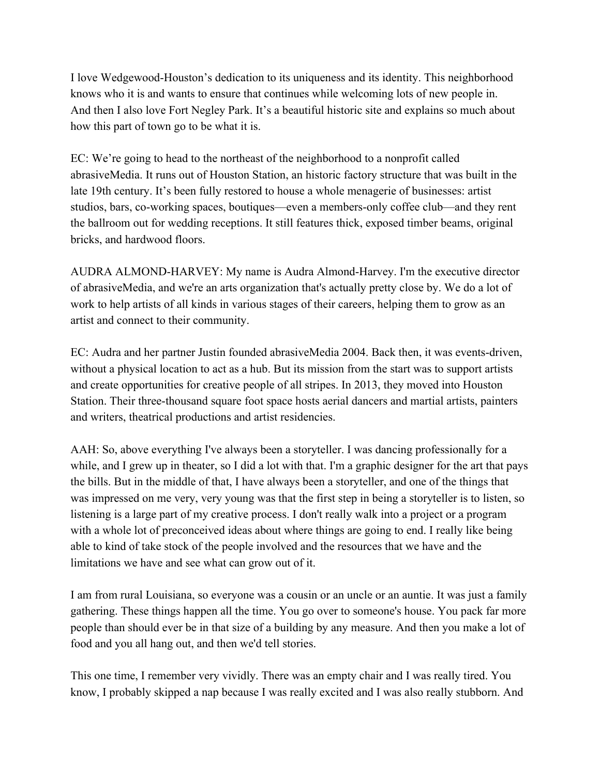I love Wedgewood-Houston's dedication to its uniqueness and its identity. This neighborhood knows who it is and wants to ensure that continues while welcoming lots of new people in. And then I also love Fort Negley Park. It's a beautiful historic site and explains so much about how this part of town go to be what it is.

EC: We're going to head to the northeast of the neighborhood to a nonprofit called abrasiveMedia. It runs out of Houston Station, an historic factory structure that was built in the late 19th century. It's been fully restored to house a whole menagerie of businesses: artist studios, bars, co-working spaces, boutiques––even a members-only coffee club––and they rent the ballroom out for wedding receptions. It still features thick, exposed timber beams, original bricks, and hardwood floors.

AUDRA ALMOND-HARVEY: My name is Audra Almond-Harvey. I'm the executive director of abrasiveMedia, and we're an arts organization that's actually pretty close by. We do a lot of work to help artists of all kinds in various stages of their careers, helping them to grow as an artist and connect to their community.

EC: Audra and her partner Justin founded abrasiveMedia 2004. Back then, it was events-driven, without a physical location to act as a hub. But its mission from the start was to support artists and create opportunities for creative people of all stripes. In 2013, they moved into Houston Station. Their three-thousand square foot space hosts aerial dancers and martial artists, painters and writers, theatrical productions and artist residencies.

AAH: So, above everything I've always been a storyteller. I was dancing professionally for a while, and I grew up in theater, so I did a lot with that. I'm a graphic designer for the art that pays the bills. But in the middle of that, I have always been a storyteller, and one of the things that was impressed on me very, very young was that the first step in being a storyteller is to listen, so listening is a large part of my creative process. I don't really walk into a project or a program with a whole lot of preconceived ideas about where things are going to end. I really like being able to kind of take stock of the people involved and the resources that we have and the limitations we have and see what can grow out of it.

I am from rural Louisiana, so everyone was a cousin or an uncle or an auntie. It was just a family gathering. These things happen all the time. You go over to someone's house. You pack far more people than should ever be in that size of a building by any measure. And then you make a lot of food and you all hang out, and then we'd tell stories.

This one time, I remember very vividly. There was an empty chair and I was really tired. You know, I probably skipped a nap because I was really excited and I was also really stubborn. And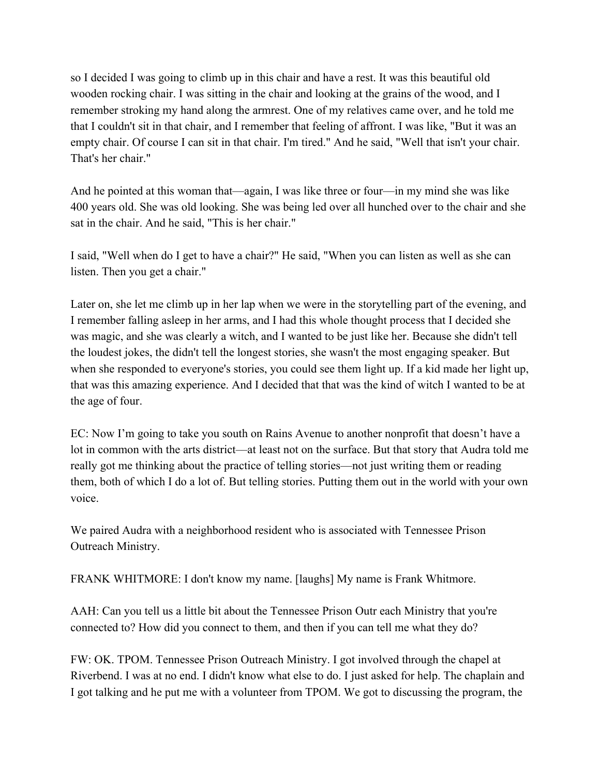so I decided I was going to climb up in this chair and have a rest. It was this beautiful old wooden rocking chair. I was sitting in the chair and looking at the grains of the wood, and I remember stroking my hand along the armrest. One of my relatives came over, and he told me that I couldn't sit in that chair, and I remember that feeling of affront. I was like, "But it was an empty chair. Of course I can sit in that chair. I'm tired." And he said, "Well that isn't your chair. That's her chair."

And he pointed at this woman that—again, I was like three or four—in my mind she was like 400 years old. She was old looking. She was being led over all hunched over to the chair and she sat in the chair. And he said, "This is her chair."

I said, "Well when do I get to have a chair?" He said, "When you can listen as well as she can listen. Then you get a chair."

Later on, she let me climb up in her lap when we were in the storytelling part of the evening, and I remember falling asleep in her arms, and I had this whole thought process that I decided she was magic, and she was clearly a witch, and I wanted to be just like her. Because she didn't tell the loudest jokes, the didn't tell the longest stories, she wasn't the most engaging speaker. But when she responded to everyone's stories, you could see them light up. If a kid made her light up, that was this amazing experience. And I decided that that was the kind of witch I wanted to be at the age of four.

EC: Now I'm going to take you south on Rains Avenue to another nonprofit that doesn't have a lot in common with the arts district––at least not on the surface. But that story that Audra told me really got me thinking about the practice of telling stories––not just writing them or reading them, both of which I do a lot of. But telling stories. Putting them out in the world with your own voice.

We paired Audra with a neighborhood resident who is associated with Tennessee Prison Outreach Ministry.

FRANK WHITMORE: I don't know my name. [laughs] My name is Frank Whitmore.

AAH: Can you tell us a little bit about the Tennessee Prison Outr each Ministry that you're connected to? How did you connect to them, and then if you can tell me what they do?

FW: OK. TPOM. Tennessee Prison Outreach Ministry. I got involved through the chapel at Riverbend. I was at no end. I didn't know what else to do. I just asked for help. The chaplain and I got talking and he put me with a volunteer from TPOM. We got to discussing the program, the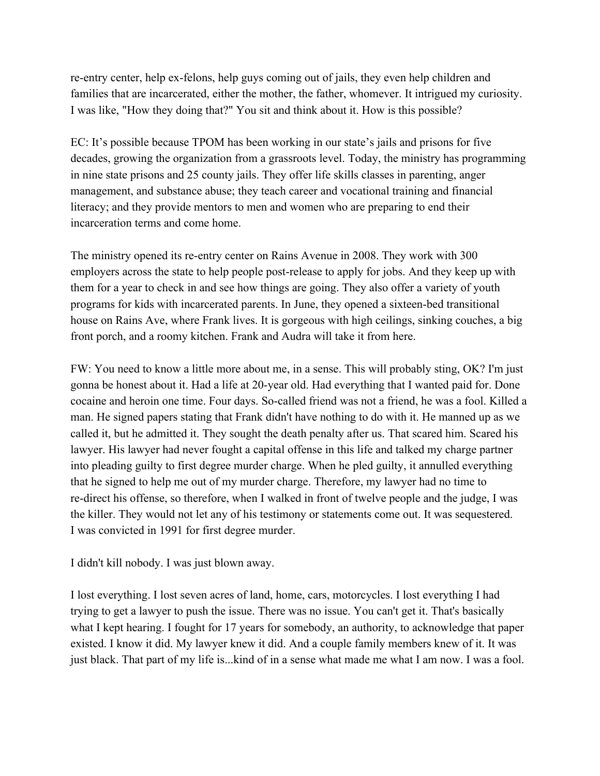re-entry center, help ex-felons, help guys coming out of jails, they even help children and families that are incarcerated, either the mother, the father, whomever. It intrigued my curiosity. I was like, "How they doing that?" You sit and think about it. How is this possible?

EC: It's possible because TPOM has been working in our state's jails and prisons for five decades, growing the organization from a grassroots level. Today, the ministry has programming in nine state prisons and 25 county jails. They offer life skills classes in parenting, anger management, and substance abuse; they teach career and vocational training and financial literacy; and they provide mentors to men and women who are preparing to end their incarceration terms and come home.

The ministry opened its re-entry center on Rains Avenue in 2008. They work with 300 employers across the state to help people post-release to apply for jobs. And they keep up with them for a year to check in and see how things are going. They also offer a variety of youth programs for kids with incarcerated parents. In June, they opened a sixteen-bed transitional house on Rains Ave, where Frank lives. It is gorgeous with high ceilings, sinking couches, a big front porch, and a roomy kitchen. Frank and Audra will take it from here.

FW: You need to know a little more about me, in a sense. This will probably sting, OK? I'm just gonna be honest about it. Had a life at 20-year old. Had everything that I wanted paid for. Done cocaine and heroin one time. Four days. So-called friend was not a friend, he was a fool. Killed a man. He signed papers stating that Frank didn't have nothing to do with it. He manned up as we called it, but he admitted it. They sought the death penalty after us. That scared him. Scared his lawyer. His lawyer had never fought a capital offense in this life and talked my charge partner into pleading guilty to first degree murder charge. When he pled guilty, it annulled everything that he signed to help me out of my murder charge. Therefore, my lawyer had no time to re-direct his offense, so therefore, when I walked in front of twelve people and the judge, I was the killer. They would not let any of his testimony or statements come out. It was sequestered. I was convicted in 1991 for first degree murder.

I didn't kill nobody. I was just blown away.

I lost everything. I lost seven acres of land, home, cars, motorcycles. I lost everything I had trying to get a lawyer to push the issue. There was no issue. You can't get it. That's basically what I kept hearing. I fought for 17 years for somebody, an authority, to acknowledge that paper existed. I know it did. My lawyer knew it did. And a couple family members knew of it. It was just black. That part of my life is...kind of in a sense what made me what I am now. I was a fool.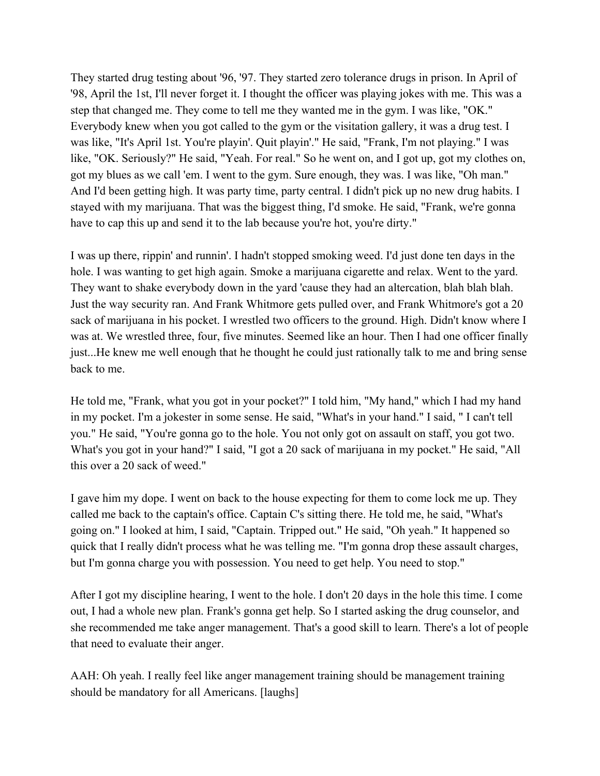They started drug testing about '96, '97. They started zero tolerance drugs in prison. In April of '98, April the 1st, I'll never forget it. I thought the officer was playing jokes with me. This was a step that changed me. They come to tell me they wanted me in the gym. I was like, "OK." Everybody knew when you got called to the gym or the visitation gallery, it was a drug test. I was like, "It's April 1st. You're playin'. Quit playin'." He said, "Frank, I'm not playing." I was like, "OK. Seriously?" He said, "Yeah. For real." So he went on, and I got up, got my clothes on, got my blues as we call 'em. I went to the gym. Sure enough, they was. I was like, "Oh man." And I'd been getting high. It was party time, party central. I didn't pick up no new drug habits. I stayed with my marijuana. That was the biggest thing, I'd smoke. He said, "Frank, we're gonna have to cap this up and send it to the lab because you're hot, you're dirty."

I was up there, rippin' and runnin'. I hadn't stopped smoking weed. I'd just done ten days in the hole. I was wanting to get high again. Smoke a marijuana cigarette and relax. Went to the yard. They want to shake everybody down in the yard 'cause they had an altercation, blah blah blah. Just the way security ran. And Frank Whitmore gets pulled over, and Frank Whitmore's got a 20 sack of marijuana in his pocket. I wrestled two officers to the ground. High. Didn't know where I was at. We wrestled three, four, five minutes. Seemed like an hour. Then I had one officer finally just...He knew me well enough that he thought he could just rationally talk to me and bring sense back to me.

He told me, "Frank, what you got in your pocket?" I told him, "My hand," which I had my hand in my pocket. I'm a jokester in some sense. He said, "What's in your hand." I said, " I can't tell you." He said, "You're gonna go to the hole. You not only got on assault on staff, you got two. What's you got in your hand?" I said, "I got a 20 sack of marijuana in my pocket." He said, "All this over a 20 sack of weed."

I gave him my dope. I went on back to the house expecting for them to come lock me up. They called me back to the captain's office. Captain C's sitting there. He told me, he said, "What's going on." I looked at him, I said, "Captain. Tripped out." He said, "Oh yeah." It happened so quick that I really didn't process what he was telling me. "I'm gonna drop these assault charges, but I'm gonna charge you with possession. You need to get help. You need to stop."

After I got my discipline hearing, I went to the hole. I don't 20 days in the hole this time. I come out, I had a whole new plan. Frank's gonna get help. So I started asking the drug counselor, and she recommended me take anger management. That's a good skill to learn. There's a lot of people that need to evaluate their anger.

AAH: Oh yeah. I really feel like anger management training should be management training should be mandatory for all Americans. [laughs]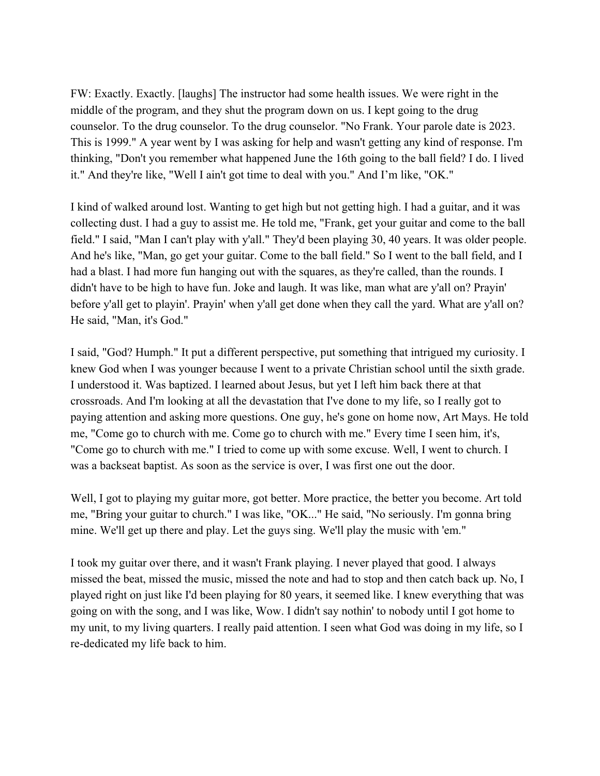FW: Exactly. Exactly. [laughs] The instructor had some health issues. We were right in the middle of the program, and they shut the program down on us. I kept going to the drug counselor. To the drug counselor. To the drug counselor. "No Frank. Your parole date is 2023. This is 1999." A year went by I was asking for help and wasn't getting any kind of response. I'm thinking, "Don't you remember what happened June the 16th going to the ball field? I do. I lived it." And they're like, "Well I ain't got time to deal with you." And I'm like, "OK."

I kind of walked around lost. Wanting to get high but not getting high. I had a guitar, and it was collecting dust. I had a guy to assist me. He told me, "Frank, get your guitar and come to the ball field." I said, "Man I can't play with y'all." They'd been playing 30, 40 years. It was older people. And he's like, "Man, go get your guitar. Come to the ball field." So I went to the ball field, and I had a blast. I had more fun hanging out with the squares, as they're called, than the rounds. I didn't have to be high to have fun. Joke and laugh. It was like, man what are y'all on? Prayin' before y'all get to playin'. Prayin' when y'all get done when they call the yard. What are y'all on? He said, "Man, it's God."

I said, "God? Humph." It put a different perspective, put something that intrigued my curiosity. I knew God when I was younger because I went to a private Christian school until the sixth grade. I understood it. Was baptized. I learned about Jesus, but yet I left him back there at that crossroads. And I'm looking at all the devastation that I've done to my life, so I really got to paying attention and asking more questions. One guy, he's gone on home now, Art Mays. He told me, "Come go to church with me. Come go to church with me." Every time I seen him, it's, "Come go to church with me." I tried to come up with some excuse. Well, I went to church. I was a backseat baptist. As soon as the service is over, I was first one out the door.

Well, I got to playing my guitar more, got better. More practice, the better you become. Art told me, "Bring your guitar to church." I was like, "OK..." He said, "No seriously. I'm gonna bring mine. We'll get up there and play. Let the guys sing. We'll play the music with 'em."

I took my guitar over there, and it wasn't Frank playing. I never played that good. I always missed the beat, missed the music, missed the note and had to stop and then catch back up. No, I played right on just like I'd been playing for 80 years, it seemed like. I knew everything that was going on with the song, and I was like, Wow. I didn't say nothin' to nobody until I got home to my unit, to my living quarters. I really paid attention. I seen what God was doing in my life, so I re-dedicated my life back to him.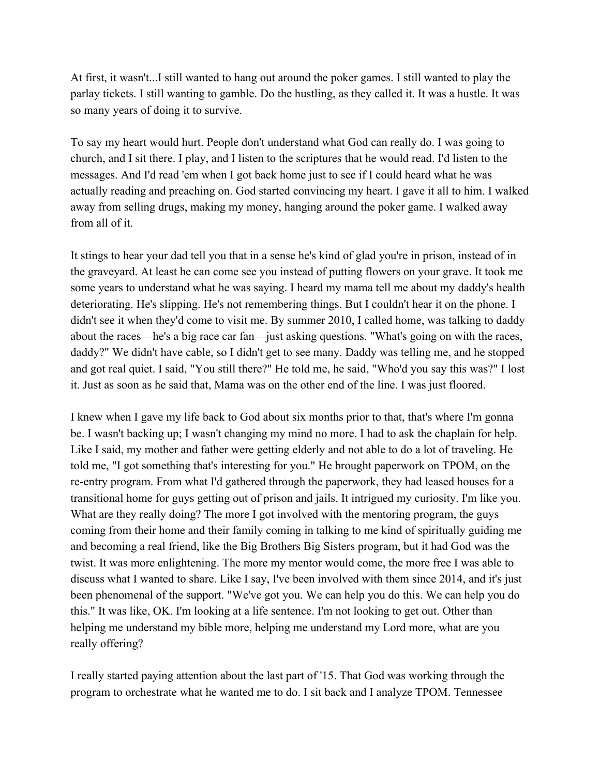At first, it wasn't...I still wanted to hang out around the poker games. I still wanted to play the parlay tickets. I still wanting to gamble. Do the hustling, as they called it. It was a hustle. It was so many years of doing it to survive.

To say my heart would hurt. People don't understand what God can really do. I was going to church, and I sit there. I play, and I listen to the scriptures that he would read. I'd listen to the messages. And I'd read 'em when I got back home just to see if I could heard what he was actually reading and preaching on. God started convincing my heart. I gave it all to him. I walked away from selling drugs, making my money, hanging around the poker game. I walked away from all of it.

It stings to hear your dad tell you that in a sense he's kind of glad you're in prison, instead of in the graveyard. At least he can come see you instead of putting flowers on your grave. It took me some years to understand what he was saying. I heard my mama tell me about my daddy's health deteriorating. He's slipping. He's not remembering things. But I couldn't hear it on the phone. I didn't see it when they'd come to visit me. By summer 2010, I called home, was talking to daddy about the races––he's a big race car fan––just asking questions. "What's going on with the races, daddy?" We didn't have cable, so I didn't get to see many. Daddy was telling me, and he stopped and got real quiet. I said, "You still there?" He told me, he said, "Who'd you say this was?" I lost it. Just as soon as he said that, Mama was on the other end of the line. I was just floored.

I knew when I gave my life back to God about six months prior to that, that's where I'm gonna be. I wasn't backing up; I wasn't changing my mind no more. I had to ask the chaplain for help. Like I said, my mother and father were getting elderly and not able to do a lot of traveling. He told me, "I got something that's interesting for you." He brought paperwork on TPOM, on the re-entry program. From what I'd gathered through the paperwork, they had leased houses for a transitional home for guys getting out of prison and jails. It intrigued my curiosity. I'm like you. What are they really doing? The more I got involved with the mentoring program, the guys coming from their home and their family coming in talking to me kind of spiritually guiding me and becoming a real friend, like the Big Brothers Big Sisters program, but it had God was the twist. It was more enlightening. The more my mentor would come, the more free I was able to discuss what I wanted to share. Like I say, I've been involved with them since 2014, and it's just been phenomenal of the support. "We've got you. We can help you do this. We can help you do this." It was like, OK. I'm looking at a life sentence. I'm not looking to get out. Other than helping me understand my bible more, helping me understand my Lord more, what are you really offering?

I really started paying attention about the last part of '15. That God was working through the program to orchestrate what he wanted me to do. I sit back and I analyze TPOM. Tennessee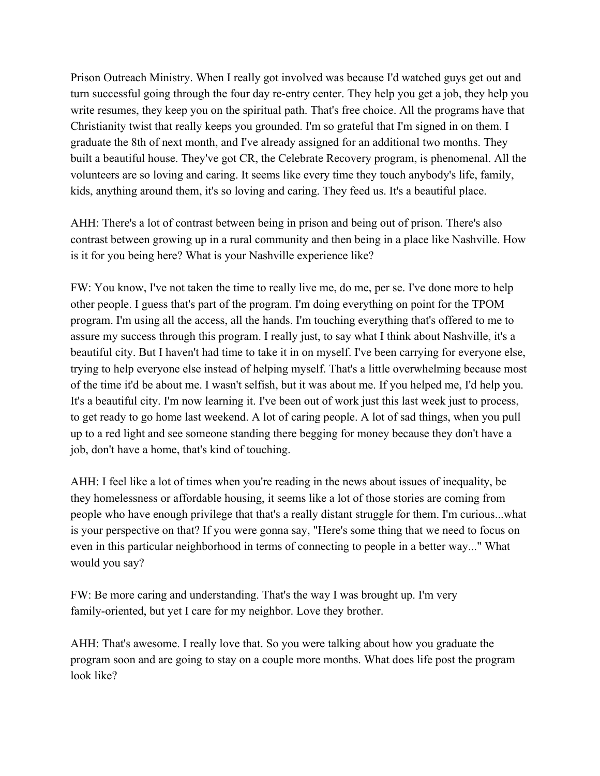Prison Outreach Ministry. When I really got involved was because I'd watched guys get out and turn successful going through the four day re-entry center. They help you get a job, they help you write resumes, they keep you on the spiritual path. That's free choice. All the programs have that Christianity twist that really keeps you grounded. I'm so grateful that I'm signed in on them. I graduate the 8th of next month, and I've already assigned for an additional two months. They built a beautiful house. They've got CR, the Celebrate Recovery program, is phenomenal. All the volunteers are so loving and caring. It seems like every time they touch anybody's life, family, kids, anything around them, it's so loving and caring. They feed us. It's a beautiful place.

AHH: There's a lot of contrast between being in prison and being out of prison. There's also contrast between growing up in a rural community and then being in a place like Nashville. How is it for you being here? What is your Nashville experience like?

FW: You know, I've not taken the time to really live me, do me, per se. I've done more to help other people. I guess that's part of the program. I'm doing everything on point for the TPOM program. I'm using all the access, all the hands. I'm touching everything that's offered to me to assure my success through this program. I really just, to say what I think about Nashville, it's a beautiful city. But I haven't had time to take it in on myself. I've been carrying for everyone else, trying to help everyone else instead of helping myself. That's a little overwhelming because most of the time it'd be about me. I wasn't selfish, but it was about me. If you helped me, I'd help you. It's a beautiful city. I'm now learning it. I've been out of work just this last week just to process, to get ready to go home last weekend. A lot of caring people. A lot of sad things, when you pull up to a red light and see someone standing there begging for money because they don't have a job, don't have a home, that's kind of touching.

AHH: I feel like a lot of times when you're reading in the news about issues of inequality, be they homelessness or affordable housing, it seems like a lot of those stories are coming from people who have enough privilege that that's a really distant struggle for them. I'm curious...what is your perspective on that? If you were gonna say, "Here's some thing that we need to focus on even in this particular neighborhood in terms of connecting to people in a better way..." What would you say?

FW: Be more caring and understanding. That's the way I was brought up. I'm very family-oriented, but yet I care for my neighbor. Love they brother.

AHH: That's awesome. I really love that. So you were talking about how you graduate the program soon and are going to stay on a couple more months. What does life post the program look like?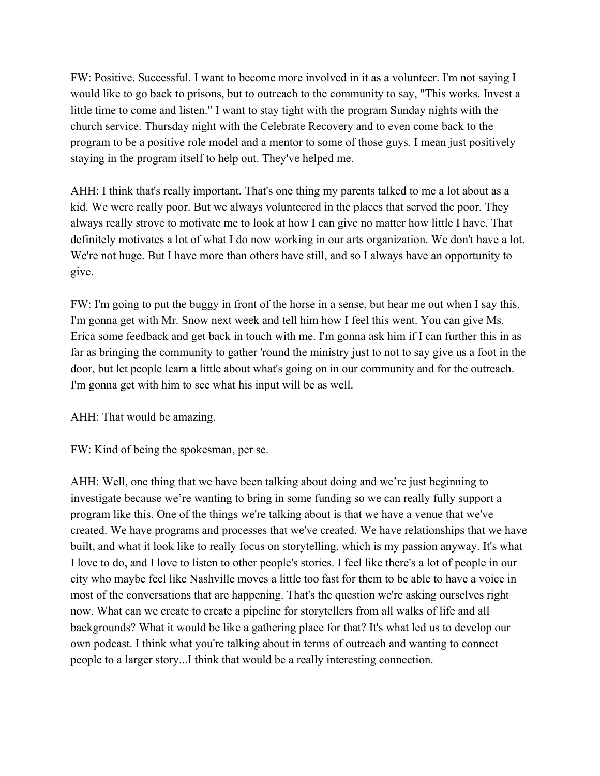FW: Positive. Successful. I want to become more involved in it as a volunteer. I'm not saying I would like to go back to prisons, but to outreach to the community to say, "This works. Invest a little time to come and listen." I want to stay tight with the program Sunday nights with the church service. Thursday night with the Celebrate Recovery and to even come back to the program to be a positive role model and a mentor to some of those guys. I mean just positively staying in the program itself to help out. They've helped me.

AHH: I think that's really important. That's one thing my parents talked to me a lot about as a kid. We were really poor. But we always volunteered in the places that served the poor. They always really strove to motivate me to look at how I can give no matter how little I have. That definitely motivates a lot of what I do now working in our arts organization. We don't have a lot. We're not huge. But I have more than others have still, and so I always have an opportunity to give.

FW: I'm going to put the buggy in front of the horse in a sense, but hear me out when I say this. I'm gonna get with Mr. Snow next week and tell him how I feel this went. You can give Ms. Erica some feedback and get back in touch with me. I'm gonna ask him if I can further this in as far as bringing the community to gather 'round the ministry just to not to say give us a foot in the door, but let people learn a little about what's going on in our community and for the outreach. I'm gonna get with him to see what his input will be as well.

AHH: That would be amazing.

FW: Kind of being the spokesman, per se.

AHH: Well, one thing that we have been talking about doing and we're just beginning to investigate because we're wanting to bring in some funding so we can really fully support a program like this. One of the things we're talking about is that we have a venue that we've created. We have programs and processes that we've created. We have relationships that we have built, and what it look like to really focus on storytelling, which is my passion anyway. It's what I love to do, and I love to listen to other people's stories. I feel like there's a lot of people in our city who maybe feel like Nashville moves a little too fast for them to be able to have a voice in most of the conversations that are happening. That's the question we're asking ourselves right now. What can we create to create a pipeline for storytellers from all walks of life and all backgrounds? What it would be like a gathering place for that? It's what led us to develop our own podcast. I think what you're talking about in terms of outreach and wanting to connect people to a larger story...I think that would be a really interesting connection.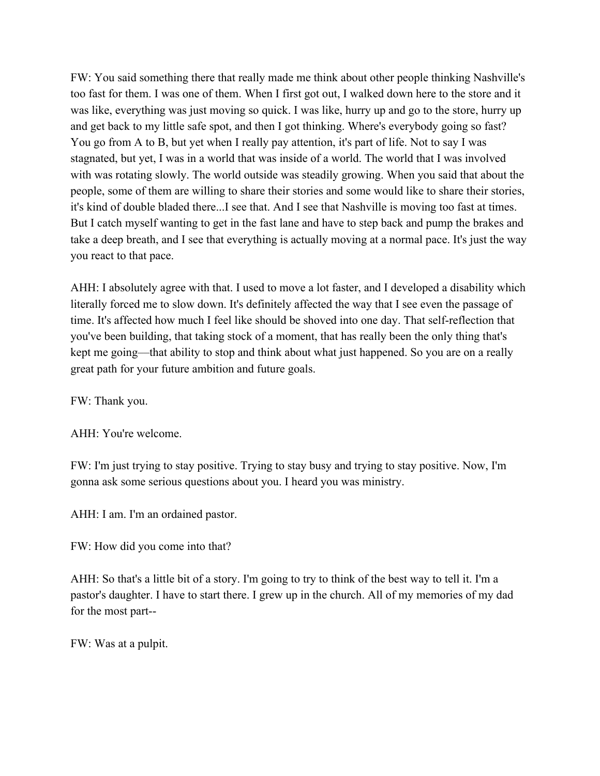FW: You said something there that really made me think about other people thinking Nashville's too fast for them. I was one of them. When I first got out, I walked down here to the store and it was like, everything was just moving so quick. I was like, hurry up and go to the store, hurry up and get back to my little safe spot, and then I got thinking. Where's everybody going so fast? You go from A to B, but yet when I really pay attention, it's part of life. Not to say I was stagnated, but yet, I was in a world that was inside of a world. The world that I was involved with was rotating slowly. The world outside was steadily growing. When you said that about the people, some of them are willing to share their stories and some would like to share their stories, it's kind of double bladed there...I see that. And I see that Nashville is moving too fast at times. But I catch myself wanting to get in the fast lane and have to step back and pump the brakes and take a deep breath, and I see that everything is actually moving at a normal pace. It's just the way you react to that pace.

AHH: I absolutely agree with that. I used to move a lot faster, and I developed a disability which literally forced me to slow down. It's definitely affected the way that I see even the passage of time. It's affected how much I feel like should be shoved into one day. That self-reflection that you've been building, that taking stock of a moment, that has really been the only thing that's kept me going––that ability to stop and think about what just happened. So you are on a really great path for your future ambition and future goals.

FW: Thank you.

AHH: You're welcome.

FW: I'm just trying to stay positive. Trying to stay busy and trying to stay positive. Now, I'm gonna ask some serious questions about you. I heard you was ministry.

AHH: I am. I'm an ordained pastor.

FW: How did you come into that?

AHH: So that's a little bit of a story. I'm going to try to think of the best way to tell it. I'm a pastor's daughter. I have to start there. I grew up in the church. All of my memories of my dad for the most part--

FW: Was at a pulpit.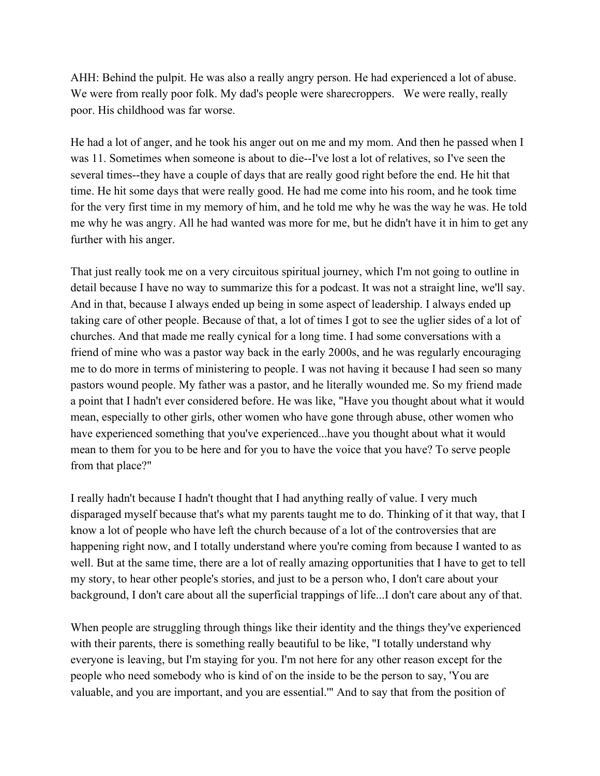AHH: Behind the pulpit. He was also a really angry person. He had experienced a lot of abuse. We were from really poor folk. My dad's people were sharecroppers. We were really, really poor. His childhood was far worse.

He had a lot of anger, and he took his anger out on me and my mom. And then he passed when I was 11. Sometimes when someone is about to die--I've lost a lot of relatives, so I've seen the several times--they have a couple of days that are really good right before the end. He hit that time. He hit some days that were really good. He had me come into his room, and he took time for the very first time in my memory of him, and he told me why he was the way he was. He told me why he was angry. All he had wanted was more for me, but he didn't have it in him to get any further with his anger.

That just really took me on a very circuitous spiritual journey, which I'm not going to outline in detail because I have no way to summarize this for a podcast. It was not a straight line, we'll say. And in that, because I always ended up being in some aspect of leadership. I always ended up taking care of other people. Because of that, a lot of times I got to see the uglier sides of a lot of churches. And that made me really cynical for a long time. I had some conversations with a friend of mine who was a pastor way back in the early 2000s, and he was regularly encouraging me to do more in terms of ministering to people. I was not having it because I had seen so many pastors wound people. My father was a pastor, and he literally wounded me. So my friend made a point that I hadn't ever considered before. He was like, "Have you thought about what it would mean, especially to other girls, other women who have gone through abuse, other women who have experienced something that you've experienced...have you thought about what it would mean to them for you to be here and for you to have the voice that you have? To serve people from that place?"

I really hadn't because I hadn't thought that I had anything really of value. I very much disparaged myself because that's what my parents taught me to do. Thinking of it that way, that I know a lot of people who have left the church because of a lot of the controversies that are happening right now, and I totally understand where you're coming from because I wanted to as well. But at the same time, there are a lot of really amazing opportunities that I have to get to tell my story, to hear other people's stories, and just to be a person who, I don't care about your background, I don't care about all the superficial trappings of life...I don't care about any of that.

When people are struggling through things like their identity and the things they've experienced with their parents, there is something really beautiful to be like, "I totally understand why everyone is leaving, but I'm staying for you. I'm not here for any other reason except for the people who need somebody who is kind of on the inside to be the person to say, 'You are valuable, and you are important, and you are essential.'" And to say that from the position of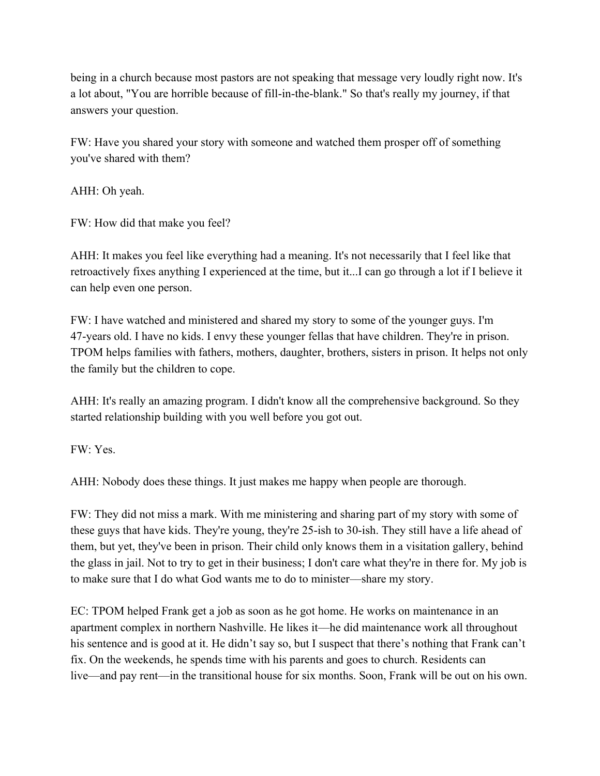being in a church because most pastors are not speaking that message very loudly right now. It's a lot about, "You are horrible because of fill-in-the-blank." So that's really my journey, if that answers your question.

FW: Have you shared your story with someone and watched them prosper off of something you've shared with them?

AHH: Oh yeah.

FW: How did that make you feel?

AHH: It makes you feel like everything had a meaning. It's not necessarily that I feel like that retroactively fixes anything I experienced at the time, but it...I can go through a lot if I believe it can help even one person.

FW: I have watched and ministered and shared my story to some of the younger guys. I'm 47-years old. I have no kids. I envy these younger fellas that have children. They're in prison. TPOM helps families with fathers, mothers, daughter, brothers, sisters in prison. It helps not only the family but the children to cope.

AHH: It's really an amazing program. I didn't know all the comprehensive background. So they started relationship building with you well before you got out.

FW: Yes.

AHH: Nobody does these things. It just makes me happy when people are thorough.

FW: They did not miss a mark. With me ministering and sharing part of my story with some of these guys that have kids. They're young, they're 25-ish to 30-ish. They still have a life ahead of them, but yet, they've been in prison. Their child only knows them in a visitation gallery, behind the glass in jail. Not to try to get in their business; I don't care what they're in there for. My job is to make sure that I do what God wants me to do to minister––share my story.

EC: TPOM helped Frank get a job as soon as he got home. He works on maintenance in an apartment complex in northern Nashville. He likes it––he did maintenance work all throughout his sentence and is good at it. He didn't say so, but I suspect that there's nothing that Frank can't fix. On the weekends, he spends time with his parents and goes to church. Residents can live––and pay rent––in the transitional house for six months. Soon, Frank will be out on his own.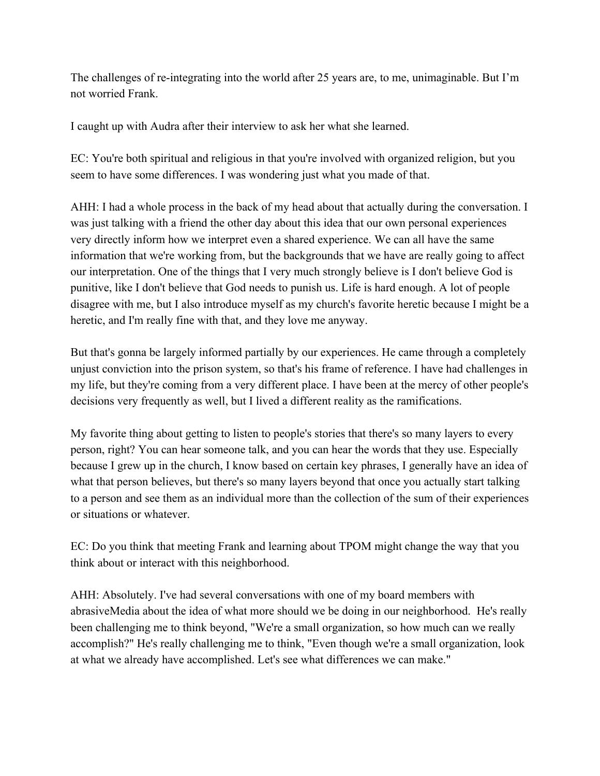The challenges of re-integrating into the world after 25 years are, to me, unimaginable. But I'm not worried Frank.

I caught up with Audra after their interview to ask her what she learned.

EC: You're both spiritual and religious in that you're involved with organized religion, but you seem to have some differences. I was wondering just what you made of that.

AHH: I had a whole process in the back of my head about that actually during the conversation. I was just talking with a friend the other day about this idea that our own personal experiences very directly inform how we interpret even a shared experience. We can all have the same information that we're working from, but the backgrounds that we have are really going to affect our interpretation. One of the things that I very much strongly believe is I don't believe God is punitive, like I don't believe that God needs to punish us. Life is hard enough. A lot of people disagree with me, but I also introduce myself as my church's favorite heretic because I might be a heretic, and I'm really fine with that, and they love me anyway.

But that's gonna be largely informed partially by our experiences. He came through a completely unjust conviction into the prison system, so that's his frame of reference. I have had challenges in my life, but they're coming from a very different place. I have been at the mercy of other people's decisions very frequently as well, but I lived a different reality as the ramifications.

My favorite thing about getting to listen to people's stories that there's so many layers to every person, right? You can hear someone talk, and you can hear the words that they use. Especially because I grew up in the church, I know based on certain key phrases, I generally have an idea of what that person believes, but there's so many layers beyond that once you actually start talking to a person and see them as an individual more than the collection of the sum of their experiences or situations or whatever.

EC: Do you think that meeting Frank and learning about TPOM might change the way that you think about or interact with this neighborhood.

AHH: Absolutely. I've had several conversations with one of my board members with abrasiveMedia about the idea of what more should we be doing in our neighborhood. He's really been challenging me to think beyond, "We're a small organization, so how much can we really accomplish?" He's really challenging me to think, "Even though we're a small organization, look at what we already have accomplished. Let's see what differences we can make."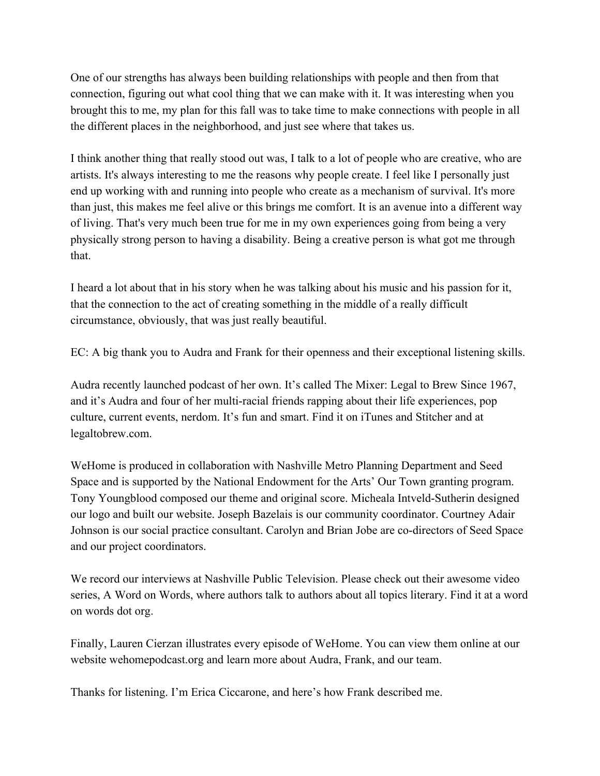One of our strengths has always been building relationships with people and then from that connection, figuring out what cool thing that we can make with it. It was interesting when you brought this to me, my plan for this fall was to take time to make connections with people in all the different places in the neighborhood, and just see where that takes us.

I think another thing that really stood out was, I talk to a lot of people who are creative, who are artists. It's always interesting to me the reasons why people create. I feel like I personally just end up working with and running into people who create as a mechanism of survival. It's more than just, this makes me feel alive or this brings me comfort. It is an avenue into a different way of living. That's very much been true for me in my own experiences going from being a very physically strong person to having a disability. Being a creative person is what got me through that.

I heard a lot about that in his story when he was talking about his music and his passion for it, that the connection to the act of creating something in the middle of a really difficult circumstance, obviously, that was just really beautiful.

EC: A big thank you to Audra and Frank for their openness and their exceptional listening skills.

Audra recently launched podcast of her own. It's called The Mixer: Legal to Brew Since 1967, and it's Audra and four of her multi-racial friends rapping about their life experiences, pop culture, current events, nerdom. It's fun and smart. Find it on iTunes and Stitcher and at legaltobrew.com.

WeHome is produced in collaboration with Nashville Metro Planning Department and Seed Space and is supported by the National Endowment for the Arts' Our Town granting program. Tony Youngblood composed our theme and original score. Micheala Intveld-Sutherin designed our logo and built our website. Joseph Bazelais is our community coordinator. Courtney Adair Johnson is our social practice consultant. Carolyn and Brian Jobe are co-directors of Seed Space and our project coordinators.

We record our interviews at Nashville Public Television. Please check out their awesome video series, A Word on Words, where authors talk to authors about all topics literary. Find it at a word on words dot org.

Finally, Lauren Cierzan illustrates every episode of WeHome. You can view them online at our website wehomepodcast.org and learn more about Audra, Frank, and our team.

Thanks for listening. I'm Erica Ciccarone, and here's how Frank described me.